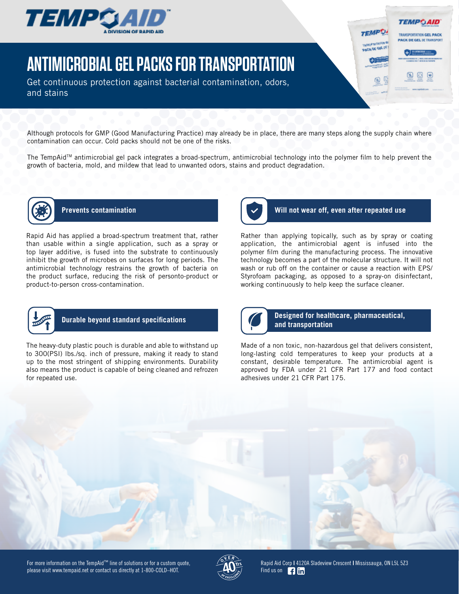

# **ANTIMICROBIAL GEL PACKS FOR TRANSPORTATION**

Get continuous protection against bacterial contamination, odors, and stains

Although protocols for GMP (Good Manufacturing Practice) may already be in place, there are many steps along the supply chain where contamination can occur. Cold packs should not be one of the risks.

The TempAid™ antimicrobial gel pack integrates a broad-spectrum, antimicrobial technology into the polymer film to help prevent the growth of bacteria, mold, and mildew that lead to unwanted odors, stains and product degradation.



Rapid Aid has applied a broad-spectrum treatment that, rather than usable within a single application, such as a spray or top layer additive, is fused into the substrate to continuously inhibit the growth of microbes on surfaces for long periods. The antimicrobial technology restrains the growth of bacteria on the product surface, reducing the risk of personto-product or product-to-person cross-contamination.



## **Prevents contamination Will not wear off, even after repeated use**

**TEMPGAID** 

TRAISPORTATION GEL PACK **PACK DE GEL 3F TRANSPORT** 

**TEMPO!** 

**UC OF GEL IT** 

Rather than applying topically, such as by spray or coating application, the antimicrobial agent is infused into the polymer film during the manufacturing process. The innovative technology becomes a part of the molecular structure. It will not wash or rub off on the container or cause a reaction with EPS/ Styrofoam packaging, as opposed to a spray-on disinfectant, working continuously to help keep the surface cleaner.



The heavy-duty plastic pouch is durable and able to withstand up to 300(PSI) lbs./sq. inch of pressure, making it ready to stand up to the most stringent of shipping environments. Durability also means the product is capable of being cleaned and refrozen for repeated use.



## **Durable beyond standard specifications Designed for healthcare, pharmaceutical, and transportation**

Made of a non toxic, non-hazardous gel that delivers consistent, long-lasting cold temperatures to keep your products at a constant, desirable temperature. The antimicrobial agent is approved by FDA under 21 CFR Part 177 and food contact adhesives under 21 CFR Part 175.





Rapid Aid Corp **|** 4120A Sladeview Crescent **|** Mississauga, ON L5L 5Z3 Find us on **Fig. 1 Find**